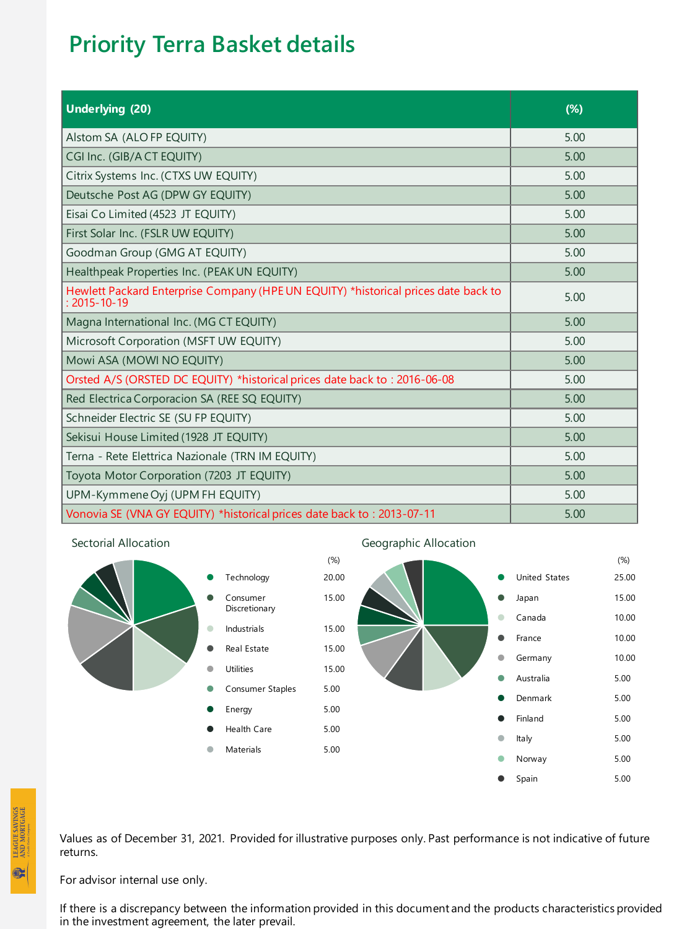## **Priority Terra Basket details**

| <b>Underlying (20)</b>                                                                                   | $(\%)$ |
|----------------------------------------------------------------------------------------------------------|--------|
| Alstom SA (ALO FP EQUITY)                                                                                | 5.00   |
| CGI Inc. (GIB/A CT EQUITY)                                                                               | 5.00   |
| Citrix Systems Inc. (CTXS UW EQUITY)                                                                     | 5.00   |
| Deutsche Post AG (DPW GY EQUITY)                                                                         | 5.00   |
| Eisai Co Limited (4523 JT EQUITY)                                                                        | 5.00   |
| First Solar Inc. (FSLR UW EQUITY)                                                                        | 5.00   |
| Goodman Group (GMG AT EQUITY)                                                                            | 5.00   |
| Healthpeak Properties Inc. (PEAK UN EQUITY)                                                              | 5.00   |
| Hewlett Packard Enterprise Company (HPE UN EQUITY) *historical prices date back to<br>$: 2015 - 10 - 19$ | 5.00   |
| Magna International Inc. (MG CT EQUITY)                                                                  | 5.00   |
| Microsoft Corporation (MSFT UW EQUITY)                                                                   | 5.00   |
| Mowi ASA (MOWI NO EQUITY)                                                                                | 5.00   |
| Orsted A/S (ORSTED DC EQUITY) *historical prices date back to: 2016-06-08                                | 5.00   |
| Red Electrica Corporacion SA (REE SQ EQUITY)                                                             | 5.00   |
| Schneider Electric SE (SU FP EQUITY)                                                                     | 5.00   |
| Sekisui House Limited (1928 JT EQUITY)                                                                   | 5.00   |
| Terna - Rete Elettrica Nazionale (TRN IM EQUITY)                                                         | 5.00   |
| Toyota Motor Corporation (7203 JT EQUITY)                                                                | 5.00   |
| UPM-Kymmene Oyj (UPM FH EQUITY)                                                                          | 5.00   |
| Vonovia SE (VNA GY EQUITY) *historical prices date back to: 2013-07-11                                   | 5.00   |





**LEAGUE SAVINGS**<br>AND MORTGAGE

 $\bullet$ 

Values as of December 31, 2021. Provided for illustrative purposes only. Past performance is not indicative of future returns.

For advisor internal use only.

If there is a discrepancy between the information provided in this document and the products characteristics provided in the investment agreement, the later prevail.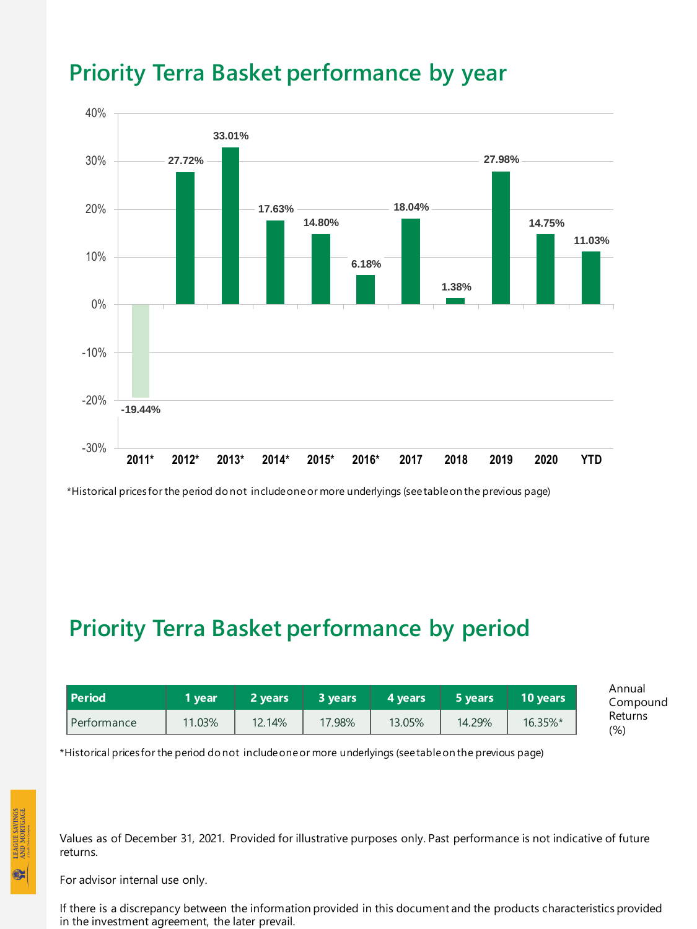

## **Priority Terra Basket performance by year**

\*Historical prices for the period do not include one or more underlyings (see table on the previous page)

## **Priority Terra Basket performance by period**

| <b>Period</b> | l vear' | 2 vears | 3 vears. | 4 vears | 5 years | 10 years | Annual<br>Compound |
|---------------|---------|---------|----------|---------|---------|----------|--------------------|
| Performance   | 11.03%  | 12.14%  | 17.98%   | 13.05%  | 14.29%  | 16.35%*  | Returns<br>(9)     |

\*Historical prices for the period do not include one or more underlyings (see table on the previous page)

Values as of December 31, 2021. Provided for illustrative purposes only. Past performance is not indicative of future returns.

For advisor internal use only.

If there is a discrepancy between the information provided in this document and the products characteristics provided in the investment agreement, the later prevail.